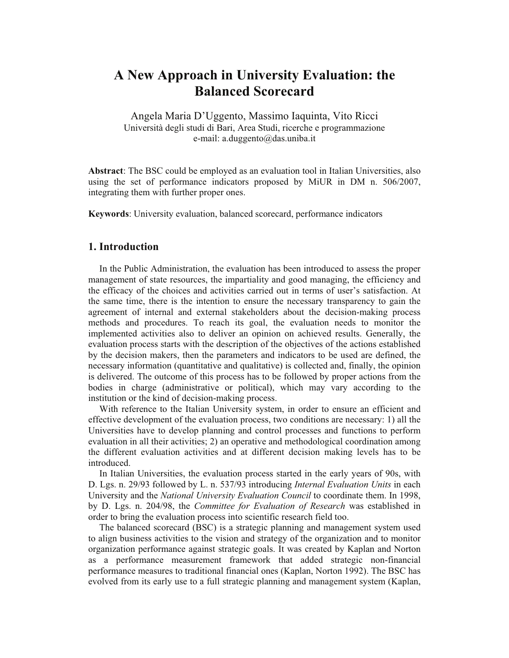# **A New Approach in University Evaluation: the Balanced Scorecard**

Angela Maria D'Uggento, Massimo Iaquinta, Vito Ricci Università degli studi di Bari, Area Studi, ricerche e programmazione e-mail: a.duggento@das.uniba.it

**Abstract**: The BSC could be employed as an evaluation tool in Italian Universities, also using the set of performance indicators proposed by MiUR in DM n. 506/2007, integrating them with further proper ones.

**Keywords**: University evaluation, balanced scorecard, performance indicators

## **1. Introduction**

In the Public Administration, the evaluation has been introduced to assess the proper management of state resources, the impartiality and good managing, the efficiency and the efficacy of the choices and activities carried out in terms of user's satisfaction. At the same time, there is the intention to ensure the necessary transparency to gain the agreement of internal and external stakeholders about the decision-making process methods and procedures. To reach its goal, the evaluation needs to monitor the implemented activities also to deliver an opinion on achieved results. Generally, the evaluation process starts with the description of the objectives of the actions established by the decision makers, then the parameters and indicators to be used are defined, the necessary information (quantitative and qualitative) is collected and, finally, the opinion is delivered. The outcome of this process has to be followed by proper actions from the bodies in charge (administrative or political), which may vary according to the institution or the kind of decision-making process.

With reference to the Italian University system, in order to ensure an efficient and effective development of the evaluation process, two conditions are necessary: 1) all the Universities have to develop planning and control processes and functions to perform evaluation in all their activities; 2) an operative and methodological coordination among the different evaluation activities and at different decision making levels has to be introduced.

In Italian Universities, the evaluation process started in the early years of 90s, with D. Lgs. n. 29/93 followed by L. n. 537/93 introducing *Internal Evaluation Units* in each University and the *National University Evaluation Council* to coordinate them. In 1998, by D. Lgs. n. 204/98, the *Committee for Evaluation of Research* was established in order to bring the evaluation process into scientific research field too.

The balanced scorecard (BSC) is a strategic planning and management system used to align business activities to the vision and strategy of the organization and to monitor organization performance against strategic goals. It was created by Kaplan and Norton as a performance measurement framework that added strategic non-financial performance measures to traditional financial ones (Kaplan, Norton 1992). The BSC has evolved from its early use to a full strategic planning and management system (Kaplan,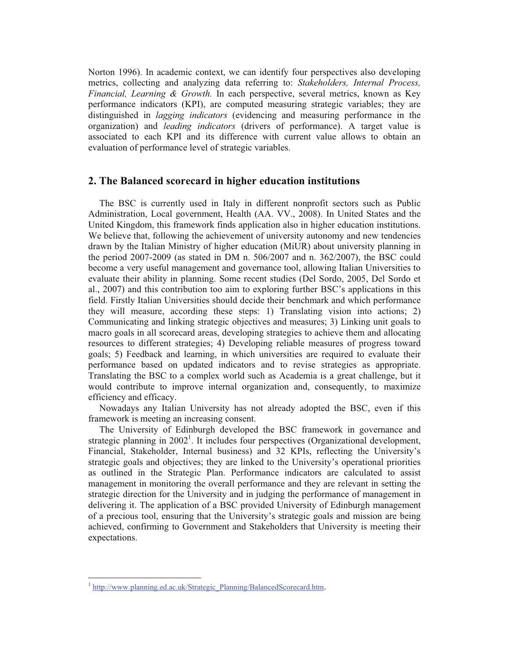Norton 1996). In academic context, we can identify four perspectives also developing metrics, collecting and analyzing data referring to: *Stakeholders, Internal Process, Financial, Learning & Growth.* In each perspective, several metrics, known as Key performance indicators (KPI), are computed measuring strategic variables; they are distinguished in *lagging indicators* (evidencing and measuring performance in the organization) and *leading indicators* (drivers of performance). A target value is associated to each KPI and its difference with current value allows to obtain an evaluation of performance level of strategic variables.

#### **2. The Balanced scorecard in higher education institutions**

The BSC is currently used in Italy in different nonprofit sectors such as Public Administration, Local government, Health (AA. VV., 2008). In United States and the United Kingdom, this framework finds application also in higher education institutions. We believe that, following the achievement of university autonomy and new tendencies drawn by the Italian Ministry of higher education (MiUR) about university planning in the period 2007-2009 (as stated in DM n. 506/2007 and n. 362/2007), the BSC could become a very useful management and governance tool, allowing Italian Universities to evaluate their ability in planning. Some recent studies (Del Sordo, 2005, Del Sordo et al., 2007) and this contribution too aim to exploring further BSC's applications in this field. Firstly Italian Universities should decide their benchmark and which performance they will measure, according these steps: 1) Translating vision into actions; 2) Communicating and linking strategic objectives and measures; 3) Linking unit goals to macro goals in all scorecard areas, developing strategies to achieve them and allocating resources to different strategies; 4) Developing reliable measures of progress toward goals; 5) Feedback and learning, in which universities are required to evaluate their performance based on updated indicators and to revise strategies as appropriate. Translating the BSC to a complex world such as Academia is a great challenge, but it would contribute to improve internal organization and, consequently, to maximize efficiency and efficacy.

Nowadays any Italian University has not already adopted the BSC, even if this framework is meeting an increasing consent.

The University of Edinburgh developed the BSC framework in governance and strategic planning in  $2002<sup>1</sup>$ . It includes four perspectives (Organizational development, Financial, Stakeholder, Internal business) and 32 KPIs, reflecting the University's strategic goals and objectives; they are linked to the University's operational priorities as outlined in the Strategic Plan. Performance indicators are calculated to assist management in monitoring the overall performance and they are relevant in setting the strategic direction for the University and in judging the performance of management in delivering it. The application of a BSC provided University of Edinburgh management of a precious tool, ensuring that the University's strategic goals and mission are being achieved, confirming to Government and Stakeholders that University is meeting their expectations.

l

<sup>&</sup>lt;sup>1</sup> http://www.planning.ed.ac.uk/Strategic\_Planning/BalancedScorecard.htm.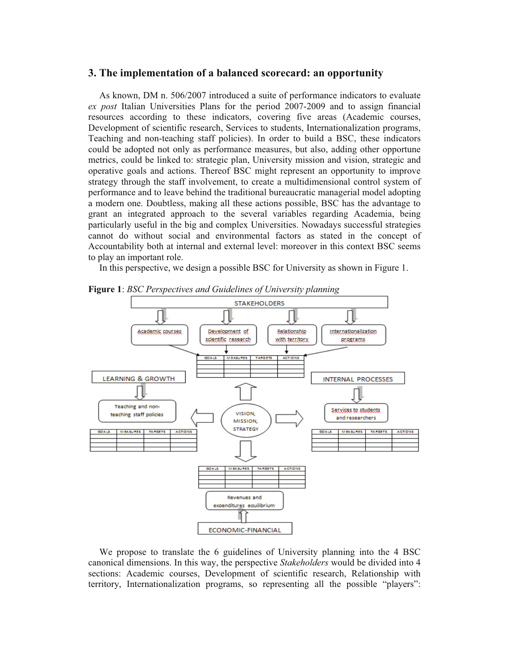## **3. The implementation of a balanced scorecard: an opportunity**

As known, DM n. 506/2007 introduced a suite of performance indicators to evaluate *ex post* Italian Universities Plans for the period 2007-2009 and to assign financial resources according to these indicators, covering five areas (Academic courses, Development of scientific research, Services to students, Internationalization programs, Teaching and non-teaching staff policies). In order to build a BSC, these indicators could be adopted not only as performance measures, but also, adding other opportune metrics, could be linked to: strategic plan, University mission and vision, strategic and operative goals and actions. Thereof BSC might represent an opportunity to improve strategy through the staff involvement, to create a multidimensional control system of performance and to leave behind the traditional bureaucratic managerial model adopting a modern one. Doubtless, making all these actions possible, BSC has the advantage to grant an integrated approach to the several variables regarding Academia, being particularly useful in the big and complex Universities. Nowadays successful strategies cannot do without social and environmental factors as stated in the concept of Accountability both at internal and external level: moreover in this context BSC seems to play an important role.

In this perspective, we design a possible BSC for University as shown in Figure 1.



**Figure 1**: *BSC Perspectives and Guidelines of University planning* 

We propose to translate the 6 guidelines of University planning into the 4 BSC canonical dimensions. In this way, the perspective *Stakeholders* would be divided into 4 sections: Academic courses, Development of scientific research, Relationship with territory, Internationalization programs, so representing all the possible "players":